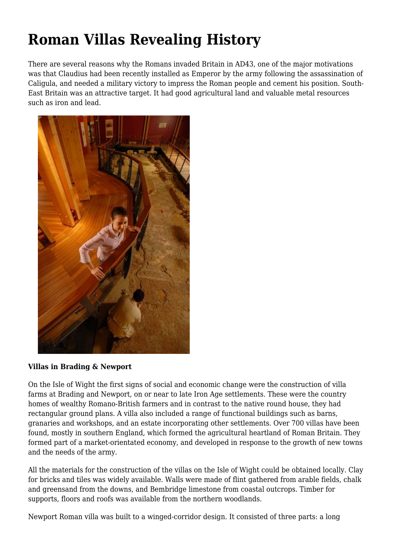# **Roman Villas Revealing History**

There are several reasons why the Romans invaded Britain in AD43, one of the major motivations was that Claudius had been recently installed as Emperor by the army following the assassination of Caligula, and needed a military victory to impress the Roman people and cement his position. South-East Britain was an attractive target. It had good agricultural land and valuable metal resources such as iron and lead.



#### **Villas in Brading & Newport**

On the Isle of Wight the first signs of social and economic change were the construction of villa farms at Brading and Newport, on or near to late Iron Age settlements. These were the country homes of wealthy Romano-British farmers and in contrast to the native round house, they had rectangular ground plans. A villa also included a range of functional buildings such as barns, granaries and workshops, and an estate incorporating other settlements. Over 700 villas have been found, mostly in southern England, which formed the agricultural heartland of Roman Britain. They formed part of a market-orientated economy, and developed in response to the growth of new towns and the needs of the army.

All the materials for the construction of the villas on the Isle of Wight could be obtained locally. Clay for bricks and tiles was widely available. Walls were made of flint gathered from arable fields, chalk and greensand from the downs, and Bembridge limestone from coastal outcrops. Timber for supports, floors and roofs was available from the northern woodlands.

Newport Roman villa was built to a winged-corridor design. It consisted of three parts: a long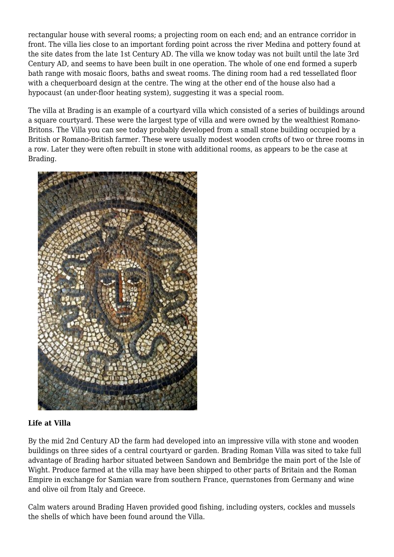rectangular house with several rooms; a projecting room on each end; and an entrance corridor in front. The villa lies close to an important fording point across the river Medina and pottery found at the site dates from the late 1st Century AD. The villa we know today was not built until the late 3rd Century AD, and seems to have been built in one operation. The whole of one end formed a superb bath range with mosaic floors, baths and sweat rooms. The dining room had a red tessellated floor with a chequerboard design at the centre. The wing at the other end of the house also had a hypocaust (an under-floor heating system), suggesting it was a special room.

The villa at Brading is an example of a courtyard villa which consisted of a series of buildings around a square courtyard. These were the largest type of villa and were owned by the wealthiest Romano-Britons. The Villa you can see today probably developed from a small stone building occupied by a British or Romano-British farmer. These were usually modest wooden crofts of two or three rooms in a row. Later they were often rebuilt in stone with additional rooms, as appears to be the case at Brading.



# **Life at Villa**

By the mid 2nd Century AD the farm had developed into an impressive villa with stone and wooden buildings on three sides of a central courtyard or garden. Brading Roman Villa was sited to take full advantage of Brading harbor situated between Sandown and Bembridge the main port of the Isle of Wight. Produce farmed at the villa may have been shipped to other parts of Britain and the Roman Empire in exchange for Samian ware from southern France, quernstones from Germany and wine and olive oil from Italy and Greece.

Calm waters around Brading Haven provided good fishing, including oysters, cockles and mussels the shells of which have been found around the Villa.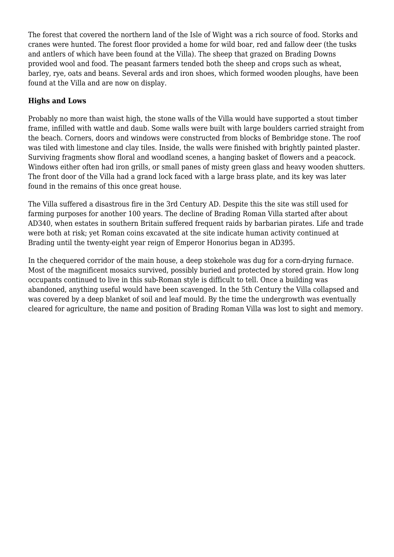The forest that covered the northern land of the Isle of Wight was a rich source of food. Storks and cranes were hunted. The forest floor provided a home for wild boar, red and fallow deer (the tusks and antlers of which have been found at the Villa). The sheep that grazed on Brading Downs provided wool and food. The peasant farmers tended both the sheep and crops such as wheat, barley, rye, oats and beans. Several ards and iron shoes, which formed wooden ploughs, have been found at the Villa and are now on display.

# **Highs and Lows**

Probably no more than waist high, the stone walls of the Villa would have supported a stout timber frame, infilled with wattle and daub. Some walls were built with large boulders carried straight from the beach. Corners, doors and windows were constructed from blocks of Bembridge stone. The roof was tiled with limestone and clay tiles. Inside, the walls were finished with brightly painted plaster. Surviving fragments show floral and woodland scenes, a hanging basket of flowers and a peacock. Windows either often had iron grills, or small panes of misty green glass and heavy wooden shutters. The front door of the Villa had a grand lock faced with a large brass plate, and its key was later found in the remains of this once great house.

The Villa suffered a disastrous fire in the 3rd Century AD. Despite this the site was still used for farming purposes for another 100 years. The decline of Brading Roman Villa started after about AD340, when estates in southern Britain suffered frequent raids by barbarian pirates. Life and trade were both at risk; yet Roman coins excavated at the site indicate human activity continued at Brading until the twenty-eight year reign of Emperor Honorius began in AD395.

In the chequered corridor of the main house, a deep stokehole was dug for a corn-drying furnace. Most of the magnificent mosaics survived, possibly buried and protected by stored grain. How long occupants continued to live in this sub-Roman style is difficult to tell. Once a building was abandoned, anything useful would have been scavenged. In the 5th Century the Villa collapsed and was covered by a deep blanket of soil and leaf mould. By the time the undergrowth was eventually cleared for agriculture, the name and position of Brading Roman Villa was lost to sight and memory.